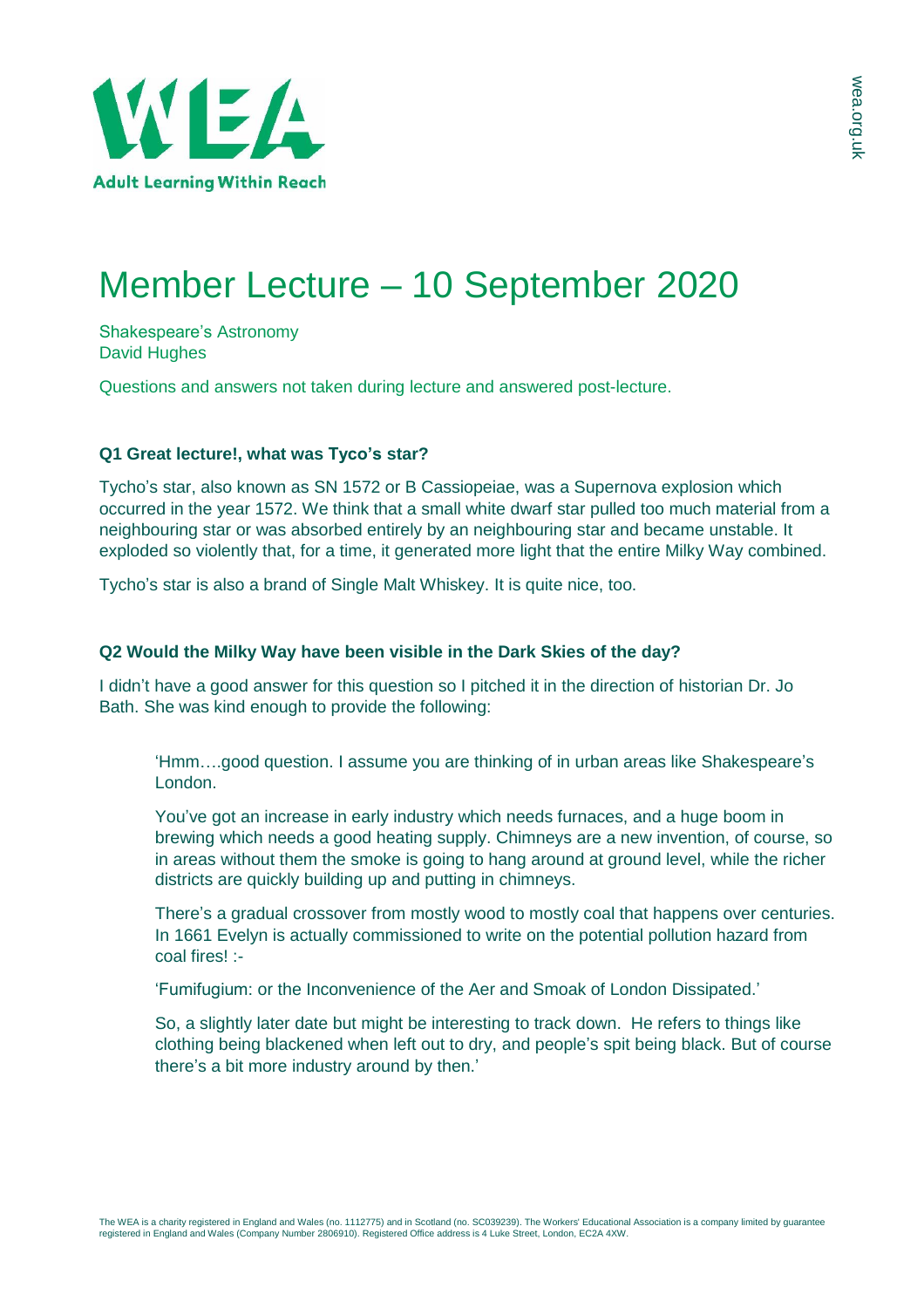

## Member Lecture – 10 September 2020

Shakespeare's Astronomy David Hughes

Questions and answers not taken during lecture and answered post-lecture.

## **Q1 Great lecture!, what was Tyco's star?**

Tycho's star, also known as SN 1572 or B Cassiopeiae, was a Supernova explosion which occurred in the year 1572. We think that a small white dwarf star pulled too much material from a neighbouring star or was absorbed entirely by an neighbouring star and became unstable. It exploded so violently that, for a time, it generated more light that the entire Milky Way combined.

Tycho's star is also a brand of Single Malt Whiskey. It is quite nice, too.

## **Q2 Would the Milky Way have been visible in the Dark Skies of the day?**

I didn't have a good answer for this question so I pitched it in the direction of historian Dr. Jo Bath. She was kind enough to provide the following:

'Hmm….good question. I assume you are thinking of in urban areas like Shakespeare's London.

You've got an increase in early industry which needs furnaces, and a huge boom in brewing which needs a good heating supply. Chimneys are a new invention, of course, so in areas without them the smoke is going to hang around at ground level, while the richer districts are quickly building up and putting in chimneys.

There's a gradual crossover from mostly wood to mostly coal that happens over centuries. In 1661 Evelyn is actually commissioned to write on the potential pollution hazard from coal fires! :-

'Fumifugium: or the Inconvenience of the Aer and Smoak of London Dissipated.'

So, a slightly later date but might be interesting to track down. He refers to things like clothing being blackened when left out to dry, and people's spit being black. But of course there's a bit more industry around by then.'